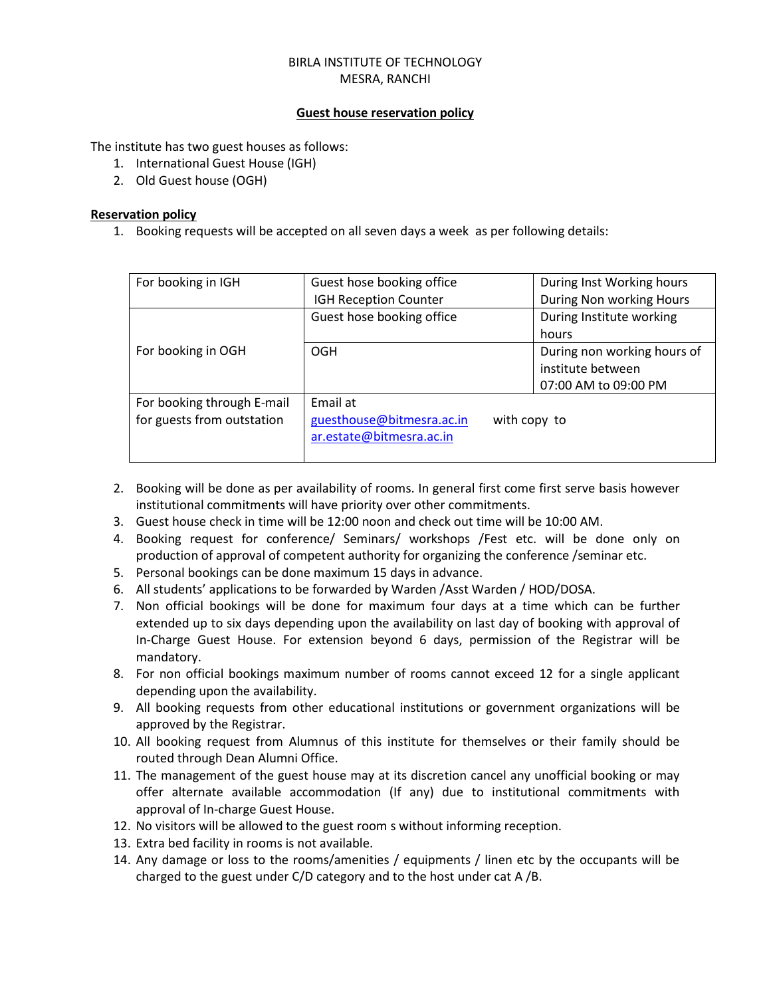### BIRLA INSTITUTE OF TECHNOLOGY MESRA, RANCHI

### **Guest house reservation policy**

The institute has two guest houses as follows:

- 1. International Guest House (IGH)
- 2. Old Guest house (OGH)

### **Reservation policy**

1. Booking requests will be accepted on all seven days a week as per following details:

| For booking in IGH         | Guest hose booking office | During Inst Working hours   |  |
|----------------------------|---------------------------|-----------------------------|--|
|                            | IGH Reception Counter     | During Non working Hours    |  |
|                            | Guest hose booking office | During Institute working    |  |
|                            |                           | hours                       |  |
| For booking in OGH         | <b>OGH</b>                | During non working hours of |  |
|                            |                           | institute between           |  |
|                            |                           | 07:00 AM to 09:00 PM        |  |
| For booking through E-mail | Email at                  |                             |  |
| for guests from outstation | guesthouse@bitmesra.ac.in | with copy to                |  |
|                            | ar.estate@bitmesra.ac.in  |                             |  |
|                            |                           |                             |  |

- 2. Booking will be done as per availability of rooms. In general first come first serve basis however institutional commitments will have priority over other commitments.
- 3. Guest house check in time will be 12:00 noon and check out time will be 10:00 AM.
- 4. Booking request for conference/ Seminars/ workshops /Fest etc. will be done only on production of approval of competent authority for organizing the conference /seminar etc.
- 5. Personal bookings can be done maximum 15 days in advance.
- 6. All students' applications to be forwarded by Warden /Asst Warden / HOD/DOSA.
- 7. Non official bookings will be done for maximum four days at a time which can be further extended up to six days depending upon the availability on last day of booking with approval of In-Charge Guest House. For extension beyond 6 days, permission of the Registrar will be mandatory.
- 8. For non official bookings maximum number of rooms cannot exceed 12 for a single applicant depending upon the availability.
- 9. All booking requests from other educational institutions or government organizations will be approved by the Registrar.
- 10. All booking request from Alumnus of this institute for themselves or their family should be routed through Dean Alumni Office.
- 11. The management of the guest house may at its discretion cancel any unofficial booking or may offer alternate available accommodation (If any) due to institutional commitments with approval of In-charge Guest House.
- 12. No visitors will be allowed to the guest room s without informing reception.
- 13. Extra bed facility in rooms is not available.
- 14. Any damage or loss to the rooms/amenities / equipments / linen etc by the occupants will be charged to the guest under C/D category and to the host under cat A /B.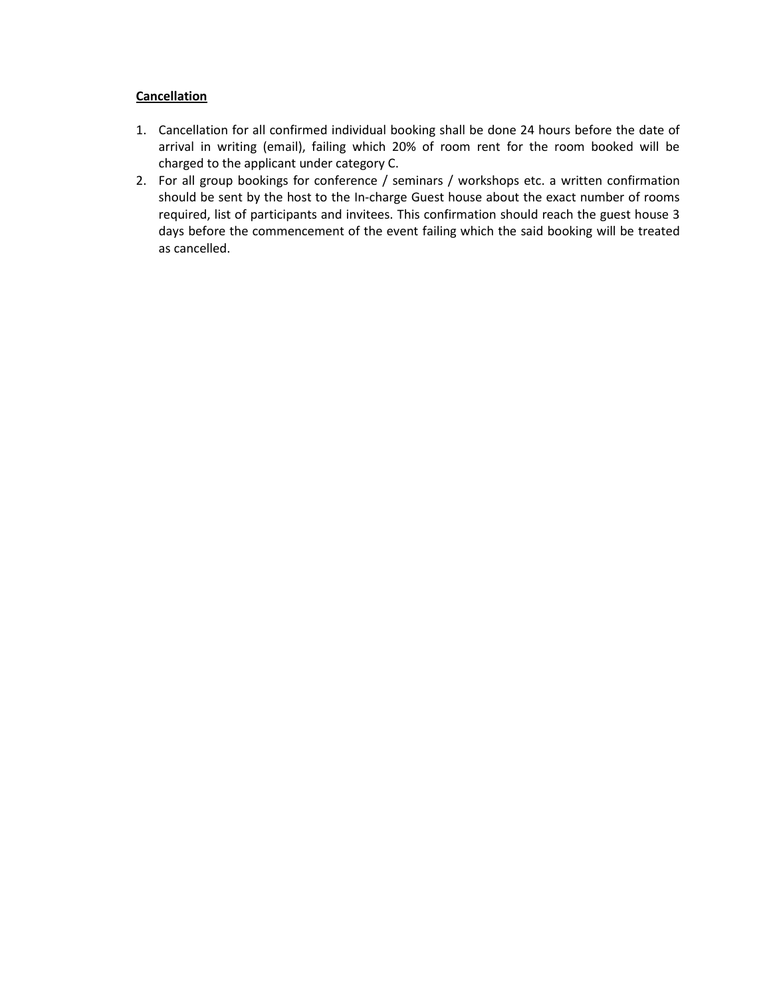## **Cancellation**

- 1. Cancellation for all confirmed individual booking shall be done 24 hours before the date of arrival in writing (email), failing which 20% of room rent for the room booked will be charged to the applicant under category C.
- 2. For all group bookings for conference / seminars / workshops etc. a written confirmation should be sent by the host to the In-charge Guest house about the exact number of rooms required, list of participants and invitees. This confirmation should reach the guest house 3 days before the commencement of the event failing which the said booking will be treated as cancelled.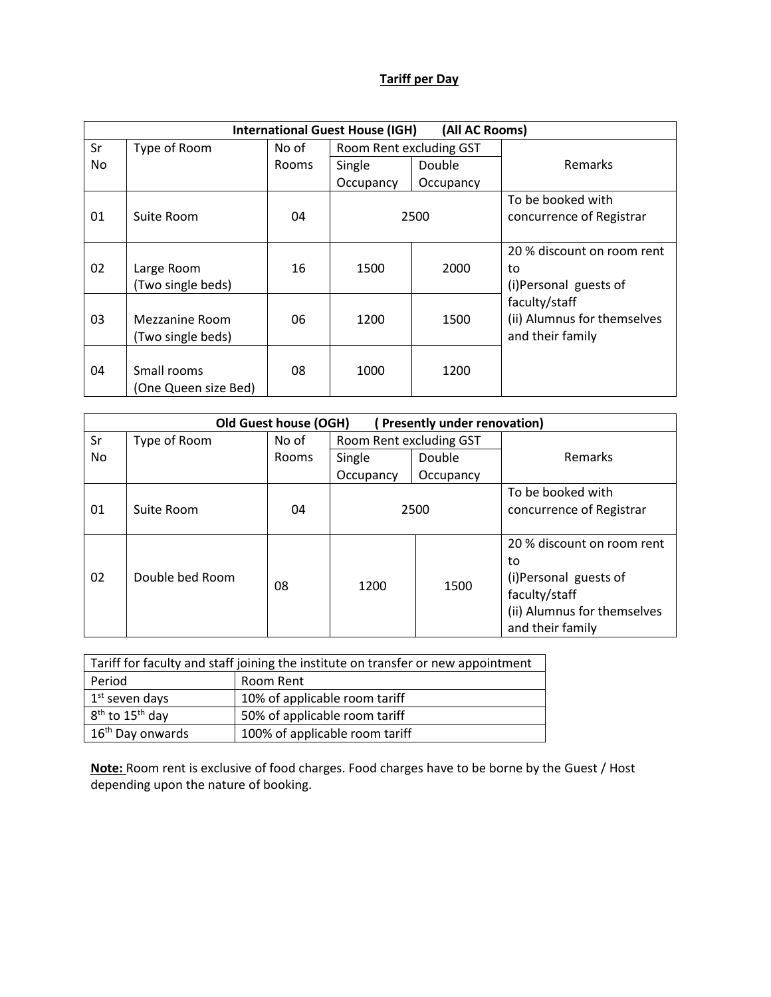# **Tariff per Day**

| <b>International Guest House (IGH)</b><br>(All AC Rooms) |                      |              |                         |           |                             |
|----------------------------------------------------------|----------------------|--------------|-------------------------|-----------|-----------------------------|
| Sr                                                       | Type of Room         | No of        | Room Rent excluding GST |           |                             |
| No                                                       |                      | <b>Rooms</b> | Single                  | Double    | <b>Remarks</b>              |
|                                                          |                      |              | Occupancy               | Occupancy |                             |
|                                                          |                      |              |                         |           | To be booked with           |
| 01                                                       | Suite Room           | 04           | 2500                    |           | concurrence of Registrar    |
|                                                          |                      |              |                         |           |                             |
|                                                          |                      |              |                         |           | 20 % discount on room rent  |
| 02                                                       | Large Room           | 16           | 1500                    | 2000      | to                          |
|                                                          | (Two single beds)    |              |                         |           | (i)Personal guests of       |
|                                                          |                      |              |                         |           | faculty/staff               |
| 03                                                       | Mezzanine Room       | 06           | 1200                    | 1500      | (ii) Alumnus for themselves |
|                                                          | (Two single beds)    |              |                         |           | and their family            |
|                                                          |                      |              |                         |           |                             |
| 04                                                       | Small rooms          | 08           | 1000                    | 1200      |                             |
|                                                          | (One Queen size Bed) |              |                         |           |                             |

| Old Guest house (OGH)<br><b>Presently under renovation)</b> |                 |              |                         |           |                                                                                                                               |
|-------------------------------------------------------------|-----------------|--------------|-------------------------|-----------|-------------------------------------------------------------------------------------------------------------------------------|
| Sr                                                          | Type of Room    | No of        | Room Rent excluding GST |           |                                                                                                                               |
| No.                                                         |                 | <b>Rooms</b> | Double<br>Single        |           | Remarks                                                                                                                       |
|                                                             |                 |              | Occupancy               | Occupancy |                                                                                                                               |
| 01                                                          | Suite Room      | 04           | 2500                    |           | To be booked with<br>concurrence of Registrar                                                                                 |
| 02                                                          | Double bed Room | 08           | 1200                    | 1500      | 20 % discount on room rent<br>to<br>(i)Personal guests of<br>faculty/staff<br>(ii) Alumnus for themselves<br>and their family |

| Tariff for faculty and staff joining the institute on transfer or new appointment |                                |  |  |
|-----------------------------------------------------------------------------------|--------------------------------|--|--|
| Period                                                                            | Room Rent                      |  |  |
| 1 <sup>st</sup> seven days                                                        | 10% of applicable room tariff  |  |  |
| $8th$ to 15 <sup>th</sup> day                                                     | 50% of applicable room tariff  |  |  |
| 16 <sup>th</sup> Day onwards                                                      | 100% of applicable room tariff |  |  |

**Note:** Room rent is exclusive of food charges. Food charges have to be borne by the Guest / Host depending upon the nature of booking.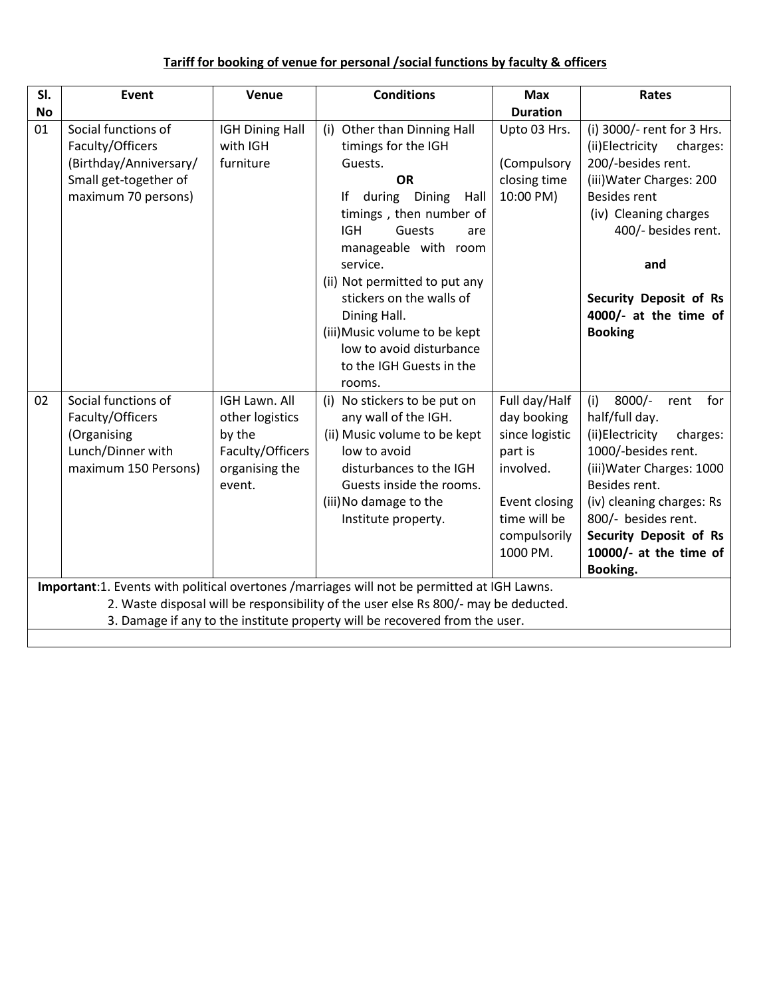# **Tariff for booking of venue for personal /social functions by faculty & officers**

| SI.       | Event                                                                                                             | Venue                                                                                      | <b>Conditions</b>                                                                                                                                                                                                                                                                                                                                                                                                                                                                 | <b>Max</b>                                                                                                                          | Rates                                                                                                                                                                                                                                                                           |  |  |
|-----------|-------------------------------------------------------------------------------------------------------------------|--------------------------------------------------------------------------------------------|-----------------------------------------------------------------------------------------------------------------------------------------------------------------------------------------------------------------------------------------------------------------------------------------------------------------------------------------------------------------------------------------------------------------------------------------------------------------------------------|-------------------------------------------------------------------------------------------------------------------------------------|---------------------------------------------------------------------------------------------------------------------------------------------------------------------------------------------------------------------------------------------------------------------------------|--|--|
| <b>No</b> |                                                                                                                   |                                                                                            |                                                                                                                                                                                                                                                                                                                                                                                                                                                                                   | <b>Duration</b>                                                                                                                     |                                                                                                                                                                                                                                                                                 |  |  |
| 01        | Social functions of<br>Faculty/Officers<br>(Birthday/Anniversary/<br>Small get-together of<br>maximum 70 persons) | <b>IGH Dining Hall</b><br>with IGH<br>furniture                                            | (i) Other than Dinning Hall<br>timings for the IGH<br>Guests.<br><b>OR</b><br>during Dining<br>lf<br>Hall<br>timings, then number of<br><b>IGH</b><br>Guests<br>are<br>manageable with room<br>service.<br>(ii) Not permitted to put any<br>stickers on the walls of<br>Dining Hall.<br>(iii) Music volume to be kept<br>low to avoid disturbance<br>to the IGH Guests in the<br>rooms.                                                                                           | Upto 03 Hrs.<br>(Compulsory<br>closing time<br>10:00 PM)                                                                            | (i) 3000/- rent for 3 Hrs.<br>(ii)Electricity<br>charges:<br>200/-besides rent.<br>(iii) Water Charges: 200<br><b>Besides rent</b><br>(iv) Cleaning charges<br>400/- besides rent.<br>and<br>Security Deposit of Rs<br>4000/- at the time of<br><b>Booking</b>                  |  |  |
| 02        | Social functions of<br>Faculty/Officers<br>(Organising<br>Lunch/Dinner with<br>maximum 150 Persons)               | IGH Lawn. All<br>other logistics<br>by the<br>Faculty/Officers<br>organising the<br>event. | (i) No stickers to be put on<br>any wall of the IGH.<br>(ii) Music volume to be kept<br>low to avoid<br>disturbances to the IGH<br>Guests inside the rooms.<br>(iii) No damage to the<br>Institute property.<br>Important:1. Events with political overtones /marriages will not be permitted at IGH Lawns.<br>2. Waste disposal will be responsibility of the user else Rs 800/- may be deducted.<br>3. Damage if any to the institute property will be recovered from the user. | Full day/Half<br>day booking<br>since logistic<br>part is<br>involved.<br>Event closing<br>time will be<br>compulsorily<br>1000 PM. | $8000/-$<br>(i)<br>for<br>rent<br>half/full day.<br>(ii)Electricity<br>charges:<br>1000/-besides rent.<br>(iii) Water Charges: 1000<br>Besides rent.<br>(iv) cleaning charges: Rs<br>800/- besides rent.<br><b>Security Deposit of Rs</b><br>10000/- at the time of<br>Booking. |  |  |
|           |                                                                                                                   |                                                                                            |                                                                                                                                                                                                                                                                                                                                                                                                                                                                                   |                                                                                                                                     |                                                                                                                                                                                                                                                                                 |  |  |
|           |                                                                                                                   |                                                                                            |                                                                                                                                                                                                                                                                                                                                                                                                                                                                                   |                                                                                                                                     |                                                                                                                                                                                                                                                                                 |  |  |